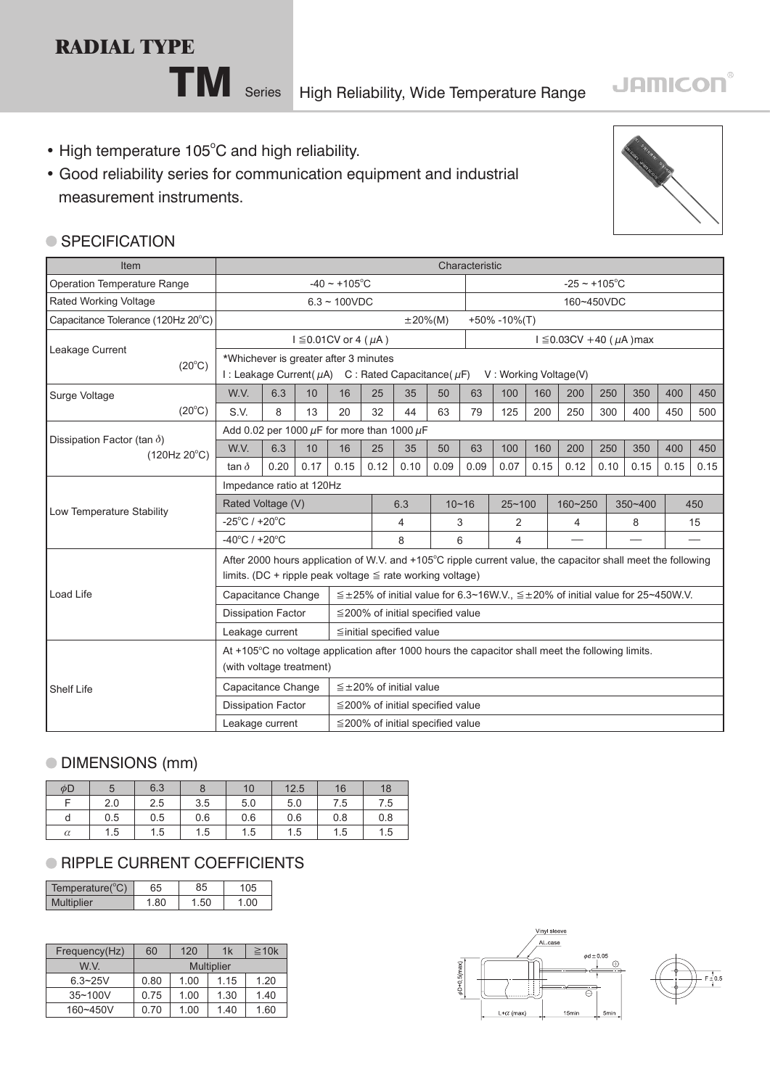# **RADIAL TYPE**

**TM** Series High Reliability, Wide Temperature Range

- High temperature 105°C and high reliability.
- Good reliability series for communication equipment and industrial measurement instruments.



#### **SPECIFICATION**

| Item                                               |                                                                                                        | Characteristic                                            |      |                                                                                                              |                                                                    |                                        |      |                                                                                         |                   |         |                          |            |      |      |                          |
|----------------------------------------------------|--------------------------------------------------------------------------------------------------------|-----------------------------------------------------------|------|--------------------------------------------------------------------------------------------------------------|--------------------------------------------------------------------|----------------------------------------|------|-----------------------------------------------------------------------------------------|-------------------|---------|--------------------------|------------|------|------|--------------------------|
| <b>Operation Temperature Range</b>                 |                                                                                                        | $-40 \sim +105$ °C                                        |      |                                                                                                              |                                                                    | $-25 - +105$ °C                        |      |                                                                                         |                   |         |                          |            |      |      |                          |
| Rated Working Voltage                              |                                                                                                        |                                                           |      | $6.3 - 100VDC$                                                                                               |                                                                    |                                        |      |                                                                                         |                   |         |                          | 160~450VDC |      |      |                          |
| Capacitance Tolerance (120Hz 20°C)                 |                                                                                                        |                                                           |      |                                                                                                              |                                                                    | $\pm 20\%$ (M)                         |      |                                                                                         | $+50\% -10\%$ (T) |         |                          |            |      |      |                          |
| Leakage Current<br>$(20^{\circ}C)$                 |                                                                                                        |                                                           |      | $I \leq 0.01$ CV or 4 ( $\mu$ A)                                                                             |                                                                    |                                        |      |                                                                                         |                   |         | $1 ≤ 0.03CV +40 (µA)max$ |            |      |      |                          |
|                                                    | *Whichever is greater after 3 minutes<br>I : Leakage Current( $\mu$ A) C : Rated Capacitance( $\mu$ F) |                                                           |      |                                                                                                              |                                                                    |                                        |      |                                                                                         |                   |         | V: Working Voltage(V)    |            |      |      |                          |
|                                                    | W.V.                                                                                                   | 6.3                                                       | 10   | 16                                                                                                           | 25                                                                 | 35                                     | 50   | 63                                                                                      | 100               | 160     | 200                      | 250        | 350  | 400  | 450                      |
| Surge Voltage<br>$(20^{\circ}C)$                   | S.V.                                                                                                   | 8                                                         | 13   | 20                                                                                                           | 32                                                                 | 44                                     | 63   | 79                                                                                      | 125               | 200     | 250                      | 300        | 400  | 450  | 500                      |
|                                                    | Add 0.02 per 1000 $\mu$ F for more than 1000 $\mu$ F                                                   |                                                           |      |                                                                                                              |                                                                    |                                        |      |                                                                                         |                   |         |                          |            |      |      |                          |
| Dissipation Factor (tan $\delta$ )<br>(120Hz 20°C) | W.V.                                                                                                   | 6.3                                                       | 10   | 16                                                                                                           | 25                                                                 | 35                                     | 50   | 63                                                                                      | 100               | 160     | 200                      | 250        | 350  | 400  | 450                      |
|                                                    | tan $\delta$                                                                                           | 0.20                                                      | 0.17 | 0.15                                                                                                         | 0.12                                                               | 0.10                                   | 0.09 | 0.09                                                                                    | 0.07              | 0.15    | 0.12                     | 0.10       | 0.15 | 0.15 | 0.15                     |
|                                                    | Impedance ratio at 120Hz                                                                               |                                                           |      |                                                                                                              |                                                                    |                                        |      |                                                                                         |                   |         |                          |            |      |      |                          |
|                                                    | Rated Voltage (V)<br>6.3                                                                               |                                                           |      |                                                                                                              | $10 - 16$                                                          | $25 - 100$                             |      | 160~250                                                                                 |                   | 350~400 |                          | 450        |      |      |                          |
| Low Temperature Stability                          | $-25^{\circ}$ C / +20 $^{\circ}$ C                                                                     |                                                           |      |                                                                                                              |                                                                    | 4                                      |      | 3                                                                                       | 2                 |         | 4                        |            | 8    |      | 15                       |
|                                                    | $-40^{\circ}$ C / +20 $^{\circ}$ C                                                                     |                                                           |      |                                                                                                              | 8                                                                  |                                        | 6    |                                                                                         | 4                 |         |                          |            |      |      | $\overline{\phantom{0}}$ |
|                                                    |                                                                                                        |                                                           |      | After 2000 hours application of W.V. and +105°C ripple current value, the capacitor shall meet the following |                                                                    |                                        |      |                                                                                         |                   |         |                          |            |      |      |                          |
|                                                    | limits. (DC + ripple peak voltage $\leq$ rate working voltage)                                         |                                                           |      |                                                                                                              |                                                                    |                                        |      |                                                                                         |                   |         |                          |            |      |      |                          |
| Load Life                                          | Capacitance Change                                                                                     |                                                           |      |                                                                                                              |                                                                    |                                        |      |                                                                                         |                   |         |                          |            |      |      |                          |
|                                                    | <b>Dissipation Factor</b>                                                                              |                                                           |      |                                                                                                              |                                                                    |                                        |      | $\leq$ ±25% of initial value for 6.3~16W V, $\leq$ ±20% of initial value for 25~450W V. |                   |         |                          |            |      |      |                          |
|                                                    | Leakage current                                                                                        |                                                           |      |                                                                                                              | $\leq$ 200% of initial specified value<br>≦initial specified value |                                        |      |                                                                                         |                   |         |                          |            |      |      |                          |
|                                                    | At +105°C no voltage application after 1000 hours the capacitor shall meet the following limits.       |                                                           |      |                                                                                                              |                                                                    |                                        |      |                                                                                         |                   |         |                          |            |      |      |                          |
|                                                    | (with voltage treatment)                                                                               |                                                           |      |                                                                                                              |                                                                    |                                        |      |                                                                                         |                   |         |                          |            |      |      |                          |
|                                                    | Capacitance Change                                                                                     |                                                           |      |                                                                                                              |                                                                    | $\leq$ ± 20% of initial value          |      |                                                                                         |                   |         |                          |            |      |      |                          |
| Shelf Life                                         | <b>Dissipation Factor</b>                                                                              |                                                           |      |                                                                                                              |                                                                    | $\leq$ 200% of initial specified value |      |                                                                                         |                   |         |                          |            |      |      |                          |
|                                                    |                                                                                                        |                                                           |      |                                                                                                              |                                                                    |                                        |      |                                                                                         |                   |         |                          |            |      |      |                          |
|                                                    |                                                                                                        | Leakage current<br>$\leq$ 200% of initial specified value |      |                                                                                                              |                                                                    |                                        |      |                                                                                         |                   |         |                          |            |      |      |                          |

## DIMENSIONS (mm)

| φD       |     | 6.3 |     | 10  | 12.5 | 16  | 18  |
|----------|-----|-----|-----|-----|------|-----|-----|
|          | 2.0 | 2.5 | 3.5 | 5.0 | 5.0  | 7.5 | 7.5 |
| d        | 0.5 | 0.5 | 0.6 | 0.6 | 0.6  | 0.8 | 0.8 |
| $\alpha$ | 1.5 | 1.5 | 1.5 | 1.5 | 1.5  | 1.5 | 1.5 |

# **RIPPLE CURRENT COEFFICIENTS**

| Temperature(°C) | 65 |  |
|-----------------|----|--|
| <i>iplier</i>   |    |  |

| Frequency(Hz) | 120<br>60         |      | 1k   | $\geq 10k$ |  |  |  |
|---------------|-------------------|------|------|------------|--|--|--|
| W V           | <b>Multiplier</b> |      |      |            |  |  |  |
| $6.3 - 25V$   | 0.80              | 1.00 | 1.15 | 1.20       |  |  |  |
| $35 - 100V$   | 0.75              | 1.00 | 1.30 | 1.40       |  |  |  |
| 160~450V      | 0.70              | 1.00 | 1.40 | 1.60       |  |  |  |



# **JAMICON®**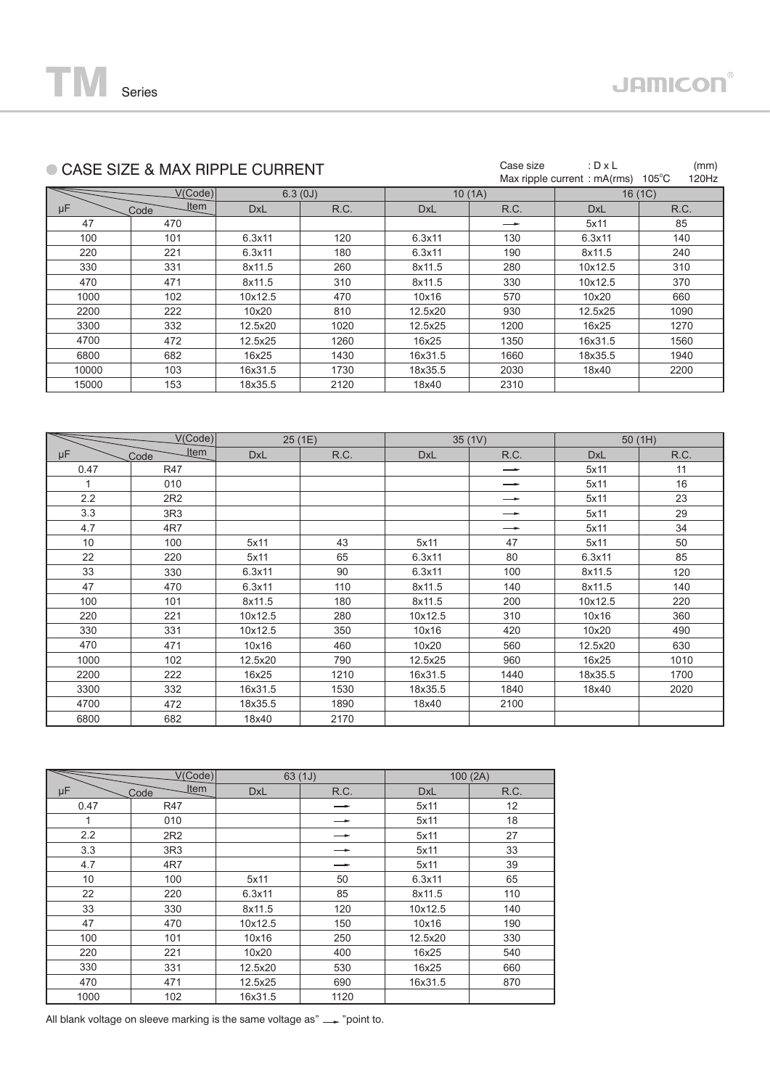

|       | CASE SIZE & MAX RIPPLE CURRENT | Case size  | : $D \times L$<br>Max ripple current: mA(rms) | $105^{\circ}$ C | (mm)<br>120Hz |            |        |  |
|-------|--------------------------------|------------|-----------------------------------------------|-----------------|---------------|------------|--------|--|
|       | V(Code)                        |            | 6.3(0J)                                       |                 | 10(1A)        |            | 16(1C) |  |
| μF    | <b>Item</b><br>Code            | <b>DxL</b> | R.C.                                          | <b>DxL</b>      | R.C.          | <b>DxL</b> | R.C.   |  |
| 47    | 470                            |            |                                               |                 |               | 5x11       | 85     |  |
| 100   | 101                            | 6.3x11     | 120                                           | 6.3x11          | 130           | 6.3x11     | 140    |  |
| 220   | 221                            | 6.3x11     | 180                                           | 6.3x11          | 190           | 8x11.5     | 240    |  |
| 330   | 331                            | 8x11.5     | 260                                           | 8x11.5          | 280           | 10x12.5    | 310    |  |
| 470   | 471                            | 8x11.5     | 310                                           | 8x11.5          | 330           | 10x12.5    | 370    |  |
| 1000  | 102                            | 10x12.5    | 470                                           | 10x16           | 570           | 10x20      | 660    |  |
| 2200  | 222                            | 10x20      | 810                                           | 12.5x20         | 930           | 12.5x25    | 1090   |  |
| 3300  | 332                            | 12.5x20    | 1020                                          | 12.5x25         | 1200          | 16x25      | 1270   |  |
| 4700  | 472                            | 12.5x25    | 1260                                          | 16x25           | 1350          | 16x31.5    | 1560   |  |
| 6800  | 682                            | 16x25      | 1430                                          | 16x31.5         | 1660          | 18x35.5    | 1940   |  |
| 10000 | 103                            | 16x31.5    | 1730                                          | 18x35.5         | 2030          | 18x40      | 2200   |  |
| 15000 | 153                            | 18x35.5    | 2120                                          | 18x40           | 2310          |            |        |  |
|       |                                |            |                                               |                 |               |            |        |  |

|      | V(Code)             | 25 (1E) |      |            | 35(1V)        | 50(1H)     |      |  |
|------|---------------------|---------|------|------------|---------------|------------|------|--|
| μF   | <b>Item</b><br>Code | DxL     | R.C. | <b>DxL</b> | R.C.          | <b>DxL</b> | R.C. |  |
| 0.47 | R47                 |         |      |            | $\rightarrow$ | 5x11       | 11   |  |
| 1    | 010                 |         |      |            | —►            | 5x11       | 16   |  |
| 2.2  | 2R2                 |         |      |            | —             | 5x11       | 23   |  |
| 3.3  | 3R3                 |         |      |            | —             | 5x11       | 29   |  |
| 4.7  | 4R7                 |         |      |            |               | 5x11       | 34   |  |
| 10   | 100                 | 5x11    | 43   | 5x11       | 47            | 5x11       | 50   |  |
| 22   | 220                 | 5x11    | 65   | 6.3x11     | 80            | 6.3x11     | 85   |  |
| 33   | 330                 | 6.3x11  | 90   | 6.3x11     | 100           | 8x11.5     | 120  |  |
| 47   | 470                 | 6.3x11  | 110  | 8x11.5     | 140           | 8x11.5     | 140  |  |
| 100  | 101                 | 8x11.5  | 180  | 8x11.5     | 200           | 10x12.5    | 220  |  |
| 220  | 221                 | 10x12.5 | 280  | 10x12.5    | 310           | 10x16      | 360  |  |
| 330  | 331                 | 10x12.5 | 350  | 10x16      | 420           | 10x20      | 490  |  |
| 470  | 471                 | 10x16   | 460  | 10x20      | 560           | 12.5x20    | 630  |  |
| 1000 | 102                 | 12.5x20 | 790  | 12.5x25    | 960           | 16x25      | 1010 |  |
| 2200 | 222                 | 16x25   | 1210 | 16x31.5    | 1440          | 18x35.5    | 1700 |  |
| 3300 | 332                 | 16x31.5 | 1530 | 18x35.5    | 1840          | 18x40      | 2020 |  |
| 4700 | 472                 | 18x35.5 | 1890 | 18x40      | 2100          |            |      |  |
| 6800 | 682                 | 18x40   | 2170 |            |               |            |      |  |

| V(Code) |              |            | 63(1J) | 100(2A)    |      |  |
|---------|--------------|------------|--------|------------|------|--|
| μF      | Item<br>Code | <b>DxL</b> | R.C.   | <b>DxL</b> | R.C. |  |
| 0.47    | R47          |            |        | 5x11       | 12   |  |
| 1       | 010          |            |        | 5x11       | 18   |  |
| 2.2     | 2R2          |            |        | 5x11       | 27   |  |
| 3.3     | 3R3          |            |        | 5x11       | 33   |  |
| 4.7     | 4R7          |            |        | 5x11       | 39   |  |
| 10      | 100          | 5x11       | 50     | 6.3x11     | 65   |  |
| 22      | 220          | 6.3x11     | 85     | 8x11.5     | 110  |  |
| 33      | 330          | 8x11.5     | 120    | 10x12.5    | 140  |  |
| 47      | 470          | 10x12.5    | 150    | 10x16      | 190  |  |
| 100     | 101          | 10x16      | 250    | 12.5x20    | 330  |  |
| 220     | 221          | 10x20      | 400    | 16x25      | 540  |  |
| 330     | 331          | 12.5x20    | 530    | 16x25      | 660  |  |
| 470     | 471          | 12.5x25    | 690    | 16x31.5    | 870  |  |
| 1000    | 102          | 16x31.5    | 1120   |            |      |  |

All blank voltage on sleeve marking is the same voltage as" $\_\_\_$  "point to.